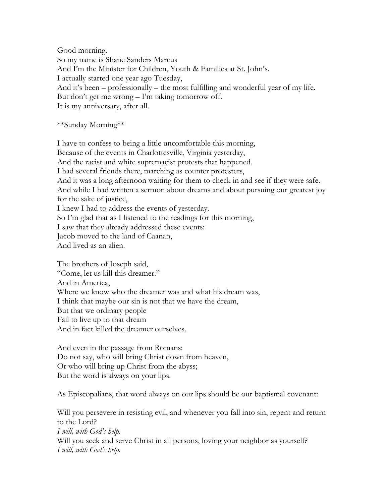Good morning. So my name is Shane Sanders Marcus And I'm the Minister for Children, Youth & Families at St. John's. I actually started one year ago Tuesday, And it's been – professionally – the most fulfilling and wonderful year of my life. But don't get me wrong – I'm taking tomorrow off. It is my anniversary, after all.

\*\*Sunday Morning\*\*

I have to confess to being a little uncomfortable this morning, Because of the events in Charlottesville, Virginia yesterday, And the racist and white supremacist protests that happened. I had several friends there, marching as counter protesters, And it was a long afternoon waiting for them to check in and see if they were safe. And while I had written a sermon about dreams and about pursuing our greatest joy for the sake of justice, I knew I had to address the events of yesterday. So I'm glad that as I listened to the readings for this morning, I saw that they already addressed these events: Jacob moved to the land of Caanan, And lived as an alien.

The brothers of Joseph said, "Come, let us kill this dreamer." And in America, Where we know who the dreamer was and what his dream was, I think that maybe our sin is not that we have the dream, But that we ordinary people Fail to live up to that dream And in fact killed the dreamer ourselves.

And even in the passage from Romans: Do not say, who will bring Christ down from heaven, Or who will bring up Christ from the abyss; But the word is always on your lips.

As Episcopalians, that word always on our lips should be our baptismal covenant:

Will you persevere in resisting evil, and whenever you fall into sin, repent and return to the Lord? *I will, with God's help.* Will you seek and serve Christ in all persons, loving your neighbor as yourself? *I will, with God's help*.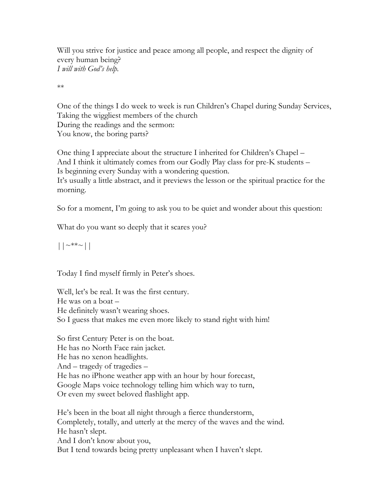Will you strive for justice and peace among all people, and respect the dignity of every human being? *I will with God's help.*

\*\*

One of the things I do week to week is run Children's Chapel during Sunday Services, Taking the wiggliest members of the church During the readings and the sermon: You know, the boring parts?

One thing I appreciate about the structure I inherited for Children's Chapel – And I think it ultimately comes from our Godly Play class for pre-K students – Is beginning every Sunday with a wondering question.

It's usually a little abstract, and it previews the lesson or the spiritual practice for the morning.

So for a moment, I'm going to ask you to be quiet and wonder about this question:

What do you want so deeply that it scares you?

 $||\sim^{\ast\ast}||$ 

Today I find myself firmly in Peter's shoes.

Well, let's be real. It was the first century. He was on a boat – He definitely wasn't wearing shoes. So I guess that makes me even more likely to stand right with him!

So first Century Peter is on the boat. He has no North Face rain jacket. He has no xenon headlights. And – tragedy of tragedies – He has no iPhone weather app with an hour by hour forecast, Google Maps voice technology telling him which way to turn, Or even my sweet beloved flashlight app.

He's been in the boat all night through a fierce thunderstorm, Completely, totally, and utterly at the mercy of the waves and the wind. He hasn't slept. And I don't know about you, But I tend towards being pretty unpleasant when I haven't slept.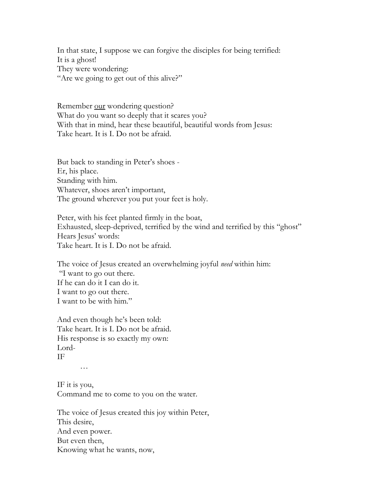In that state, I suppose we can forgive the disciples for being terrified: It is a ghost! They were wondering: "Are we going to get out of this alive?"

Remember <u>our</u> wondering question? What do you want so deeply that it scares you? With that in mind, hear these beautiful, beautiful words from Jesus: Take heart. It is I. Do not be afraid.

But back to standing in Peter's shoes - Er, his place. Standing with him. Whatever, shoes aren't important, The ground wherever you put your feet is holy.

Peter, with his feet planted firmly in the boat, Exhausted, sleep-deprived, terrified by the wind and terrified by this "ghost" Hears Jesus' words: Take heart. It is I. Do not be afraid.

The voice of Jesus created an overwhelming joyful *need* within him: "I want to go out there. If he can do it I can do it. I want to go out there. I want to be with him."

And even though he's been told: Take heart. It is I. Do not be afraid. His response is so exactly my own: Lord-IF

…

IF it is you, Command me to come to you on the water.

The voice of Jesus created this joy within Peter, This desire, And even power. But even then, Knowing what he wants, now,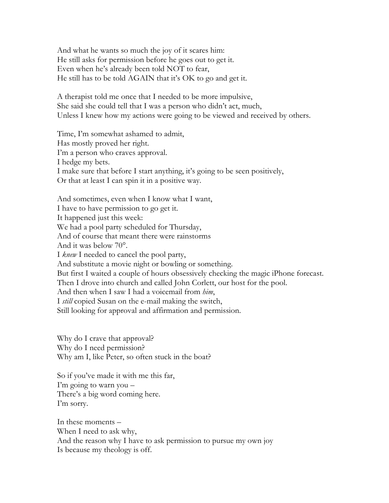And what he wants so much the joy of it scares him: He still asks for permission before he goes out to get it. Even when he's already been told NOT to fear, He still has to be told AGAIN that it's OK to go and get it.

A therapist told me once that I needed to be more impulsive, She said she could tell that I was a person who didn't act, much, Unless I knew how my actions were going to be viewed and received by others.

Time, I'm somewhat ashamed to admit, Has mostly proved her right. I'm a person who craves approval. I hedge my bets. I make sure that before I start anything, it's going to be seen positively, Or that at least I can spin it in a positive way.

And sometimes, even when I know what I want, I have to have permission to go get it. It happened just this week: We had a pool party scheduled for Thursday, And of course that meant there were rainstorms And it was below 70°. I *knew* I needed to cancel the pool party, And substitute a movie night or bowling or something. But first I waited a couple of hours obsessively checking the magic iPhone forecast. Then I drove into church and called John Corlett, our host for the pool. And then when I saw I had a voicemail from *him*, I *still* copied Susan on the e-mail making the switch, Still looking for approval and affirmation and permission.

Why do I crave that approval? Why do I need permission? Why am I, like Peter, so often stuck in the boat?

So if you've made it with me this far, I'm going to warn you – There's a big word coming here. I'm sorry.

In these moments – When I need to ask why, And the reason why I have to ask permission to pursue my own joy Is because my theology is off.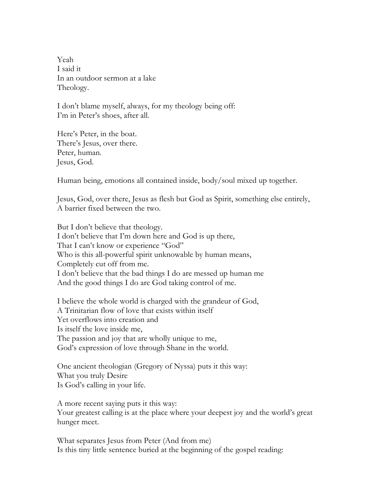Yeah I said it In an outdoor sermon at a lake Theology.

I don't blame myself, always, for my theology being off: I'm in Peter's shoes, after all.

Here's Peter, in the boat. There's Jesus, over there. Peter, human. Jesus, God.

Human being, emotions all contained inside, body/soul mixed up together.

Jesus, God, over there, Jesus as flesh but God as Spirit, something else entirely, A barrier fixed between the two.

But I don't believe that theology. I don't believe that I'm down here and God is up there, That I can't know or experience "God" Who is this all-powerful spirit unknowable by human means, Completely cut off from me. I don't believe that the bad things I do are messed up human me And the good things I do are God taking control of me.

I believe the whole world is charged with the grandeur of God, A Trinitarian flow of love that exists within itself Yet overflows into creation and Is itself the love inside me, The passion and joy that are wholly unique to me, God's expression of love through Shane in the world.

One ancient theologian (Gregory of Nyssa) puts it this way: What you truly Desire Is God's calling in your life.

A more recent saying puts it this way: Your greatest calling is at the place where your deepest joy and the world's great hunger meet.

What separates Jesus from Peter (And from me) Is this tiny little sentence buried at the beginning of the gospel reading: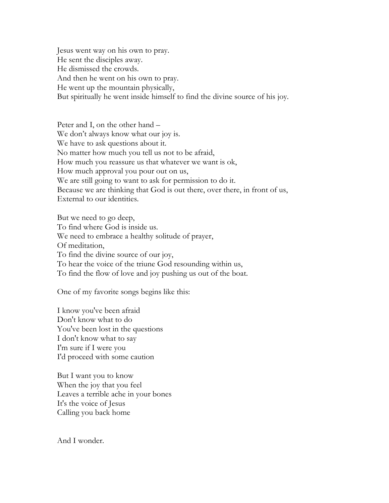Jesus went way on his own to pray. He sent the disciples away. He dismissed the crowds. And then he went on his own to pray. He went up the mountain physically, But spiritually he went inside himself to find the divine source of his joy.

Peter and I, on the other hand – We don't always know what our joy is. We have to ask questions about it. No matter how much you tell us not to be afraid, How much you reassure us that whatever we want is ok, How much approval you pour out on us, We are still going to want to ask for permission to do it. Because we are thinking that God is out there, over there, in front of us, External to our identities.

But we need to go deep, To find where God is inside us. We need to embrace a healthy solitude of prayer, Of meditation, To find the divine source of our joy, To hear the voice of the triune God resounding within us, To find the flow of love and joy pushing us out of the boat.

One of my favorite songs begins like this:

I know you've been afraid Don't know what to do You've been lost in the questions I don't know what to say I'm sure if I were you I'd proceed with some caution

But I want you to know When the joy that you feel Leaves a terrible ache in your bones It's the voice of Jesus Calling you back home

And I wonder.